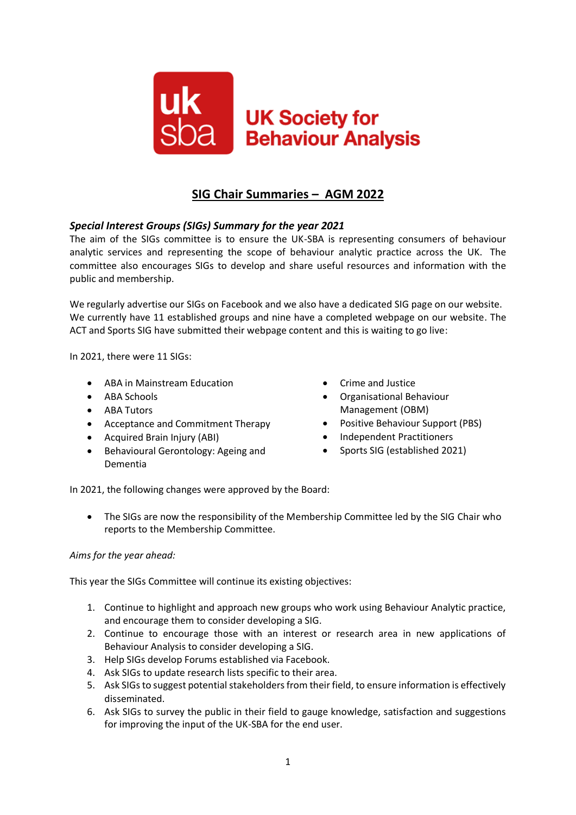

# **SIG Chair Summaries – AGM 2022**

# *Special Interest Groups (SIGs) Summary for the year 2021*

The aim of the SIGs committee is to ensure the UK-SBA is representing consumers of behaviour analytic services and representing the scope of behaviour analytic practice across the UK. The committee also encourages SIGs to develop and share useful resources and information with the public and membership.

We regularly advertise our SIGs on Facebook and we also have a dedicated SIG page on our website. We currently have 11 established groups and nine have a completed webpage on our website. The ACT and Sports SIG have submitted their webpage content and this is waiting to go live:

In 2021, there were 11 SIGs:

- ABA in Mainstream Education
- ABA Schools
- ABA Tutors
- Acceptance and Commitment Therapy
- Acquired Brain Injury (ABI)
- Behavioural Gerontology: Ageing and Dementia
- Crime and Justice
- Organisational Behaviour Management (OBM)
- Positive Behaviour Support (PBS)
- Independent Practitioners
- Sports SIG (established 2021)

In 2021, the following changes were approved by the Board:

• The SIGs are now the responsibility of the Membership Committee led by the SIG Chair who reports to the Membership Committee.

#### *Aims for the year ahead:*

This year the SIGs Committee will continue its existing objectives:

- 1. Continue to highlight and approach new groups who work using Behaviour Analytic practice, and encourage them to consider developing a SIG.
- 2. Continue to encourage those with an interest or research area in new applications of Behaviour Analysis to consider developing a SIG.
- 3. Help SIGs develop Forums established via Facebook.
- 4. Ask SIGs to update research lists specific to their area.
- 5. Ask SIGs to suggest potential stakeholders from their field, to ensure information is effectively disseminated.
- 6. Ask SIGs to survey the public in their field to gauge knowledge, satisfaction and suggestions for improving the input of the UK-SBA for the end user.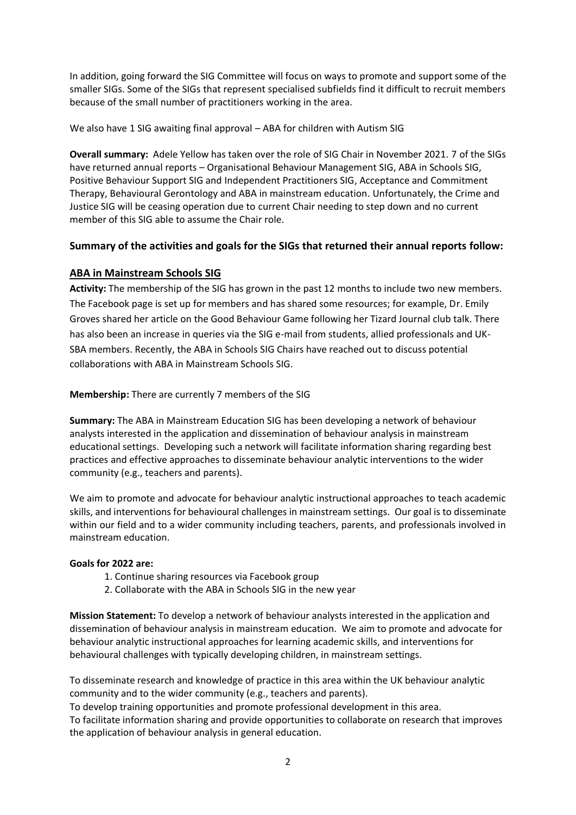In addition, going forward the SIG Committee will focus on ways to promote and support some of the smaller SIGs. Some of the SIGs that represent specialised subfields find it difficult to recruit members because of the small number of practitioners working in the area.

We also have 1 SIG awaiting final approval – ABA for children with Autism SIG

**Overall summary:** Adele Yellow has taken over the role of SIG Chair in November 2021. 7 of the SIGs have returned annual reports – Organisational Behaviour Management SIG, ABA in Schools SIG, Positive Behaviour Support SIG and Independent Practitioners SIG, Acceptance and Commitment Therapy, Behavioural Gerontology and ABA in mainstream education. Unfortunately, the Crime and Justice SIG will be ceasing operation due to current Chair needing to step down and no current member of this SIG able to assume the Chair role.

# **Summary of the activities and goals for the SIGs that returned their annual reports follow:**

## **ABA in Mainstream Schools SIG**

**Activity:** The membership of the SIG has grown in the past 12 months to include two new members. The Facebook page is set up for members and has shared some resources; for example, Dr. Emily Groves shared her article on the Good Behaviour Game following her Tizard Journal club talk. There has also been an increase in queries via the SIG e-mail from students, allied professionals and UK-SBA members. Recently, the ABA in Schools SIG Chairs have reached out to discuss potential collaborations with ABA in Mainstream Schools SIG.

**Membership:** There are currently 7 members of the SIG

**Summary:** The ABA in Mainstream Education SIG has been developing a network of behaviour analysts interested in the application and dissemination of behaviour analysis in mainstream educational settings. Developing such a network will facilitate information sharing regarding best practices and effective approaches to disseminate behaviour analytic interventions to the wider community (e.g., teachers and parents).

We aim to promote and advocate for behaviour analytic instructional approaches to teach academic skills, and interventions for behavioural challenges in mainstream settings. Our goal is to disseminate within our field and to a wider community including teachers, parents, and professionals involved in mainstream education.

## **Goals for 2022 are:**

- 1. Continue sharing resources via Facebook group
- 2. Collaborate with the ABA in Schools SIG in the new year

**Mission Statement:** To develop a network of behaviour analysts interested in the application and dissemination of behaviour analysis in mainstream education. We aim to promote and advocate for behaviour analytic instructional approaches for learning academic skills, and interventions for behavioural challenges with typically developing children, in mainstream settings.

To disseminate research and knowledge of practice in this area within the UK behaviour analytic community and to the wider community (e.g., teachers and parents).

To develop training opportunities and promote professional development in this area.

To facilitate information sharing and provide opportunities to collaborate on research that improves the application of behaviour analysis in general education.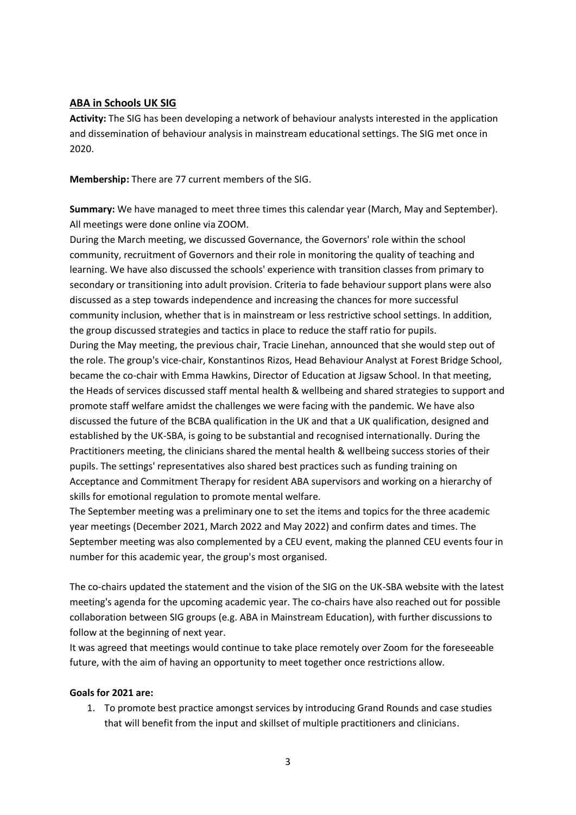### **ABA in Schools UK SIG**

**Activity:** The SIG has been developing a network of behaviour analysts interested in the application and dissemination of behaviour analysis in mainstream educational settings. The SIG met once in 2020.

**Membership:** There are 77 current members of the SIG.

**Summary:** We have managed to meet three times this calendar year (March, May and September). All meetings were done online via ZOOM.

During the March meeting, we discussed Governance, the Governors' role within the school community, recruitment of Governors and their role in monitoring the quality of teaching and learning. We have also discussed the schools' experience with transition classes from primary to secondary or transitioning into adult provision. Criteria to fade behaviour support plans were also discussed as a step towards independence and increasing the chances for more successful community inclusion, whether that is in mainstream or less restrictive school settings. In addition, the group discussed strategies and tactics in place to reduce the staff ratio for pupils. During the May meeting, the previous chair, Tracie Linehan, announced that she would step out of the role. The group's vice-chair, Konstantinos Rizos, Head Behaviour Analyst at Forest Bridge School, became the co-chair with Emma Hawkins, Director of Education at Jigsaw School. In that meeting, the Heads of services discussed staff mental health & wellbeing and shared strategies to support and promote staff welfare amidst the challenges we were facing with the pandemic. We have also discussed the future of the BCBA qualification in the UK and that a UK qualification, designed and established by the UK-SBA, is going to be substantial and recognised internationally. During the Practitioners meeting, the clinicians shared the mental health & wellbeing success stories of their pupils. The settings' representatives also shared best practices such as funding training on Acceptance and Commitment Therapy for resident ABA supervisors and working on a hierarchy of skills for emotional regulation to promote mental welfare.

The September meeting was a preliminary one to set the items and topics for the three academic year meetings (December 2021, March 2022 and May 2022) and confirm dates and times. The September meeting was also complemented by a CEU event, making the planned CEU events four in number for this academic year, the group's most organised.

The co-chairs updated the statement and the vision of the SIG on the UK-SBA website with the latest meeting's agenda for the upcoming academic year. The co-chairs have also reached out for possible collaboration between SIG groups (e.g. ABA in Mainstream Education), with further discussions to follow at the beginning of next year.

It was agreed that meetings would continue to take place remotely over Zoom for the foreseeable future, with the aim of having an opportunity to meet together once restrictions allow.

#### **Goals for 2021 are:**

1. To promote best practice amongst services by introducing Grand Rounds and case studies that will benefit from the input and skillset of multiple practitioners and clinicians.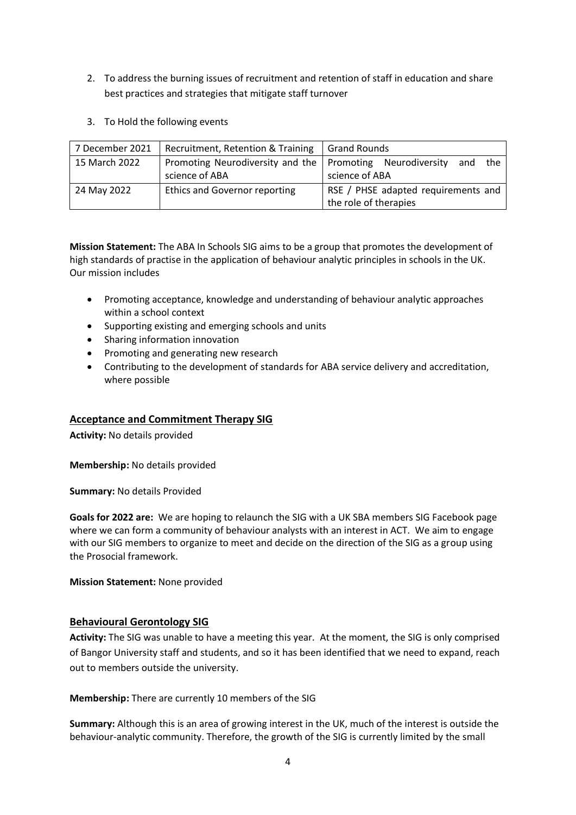- 2. To address the burning issues of recruitment and retention of staff in education and share best practices and strategies that mitigate staff turnover
- 3. To Hold the following events

| 7 December 2021 | Recruitment, Retention & Training                           | <b>Grand Rounds</b>                 |
|-----------------|-------------------------------------------------------------|-------------------------------------|
| 15 March 2022   | Promoting Neurodiversity and the   Promoting Neurodiversity | the<br>and                          |
|                 | science of ABA                                              | science of ABA                      |
| 24 May 2022     | <b>Ethics and Governor reporting</b>                        | RSE / PHSE adapted requirements and |
|                 |                                                             | the role of therapies               |

**Mission Statement:** The ABA In Schools SIG aims to be a group that promotes the development of high standards of practise in the application of behaviour analytic principles in schools in the UK. Our mission includes

- Promoting acceptance, knowledge and understanding of behaviour analytic approaches within a school context
- Supporting existing and emerging schools and units
- Sharing information innovation
- Promoting and generating new research
- Contributing to the development of standards for ABA service delivery and accreditation, where possible

#### **Acceptance and Commitment Therapy SIG**

**Activity:** No details provided

**Membership:** No details provided

**Summary:** No details Provided

**Goals for 2022 are:** We are hoping to relaunch the SIG with a UK SBA members SIG Facebook page where we can form a community of behaviour analysts with an interest in ACT. We aim to engage with our SIG members to organize to meet and decide on the direction of the SIG as a group using the Prosocial framework.

**Mission Statement:** None provided

#### **Behavioural Gerontology SIG**

**Activity:** The SIG was unable to have a meeting this year. At the moment, the SIG is only comprised of Bangor University staff and students, and so it has been identified that we need to expand, reach out to members outside the university.

#### **Membership:** There are currently 10 members of the SIG

**Summary:** Although this is an area of growing interest in the UK, much of the interest is outside the behaviour-analytic community. Therefore, the growth of the SIG is currently limited by the small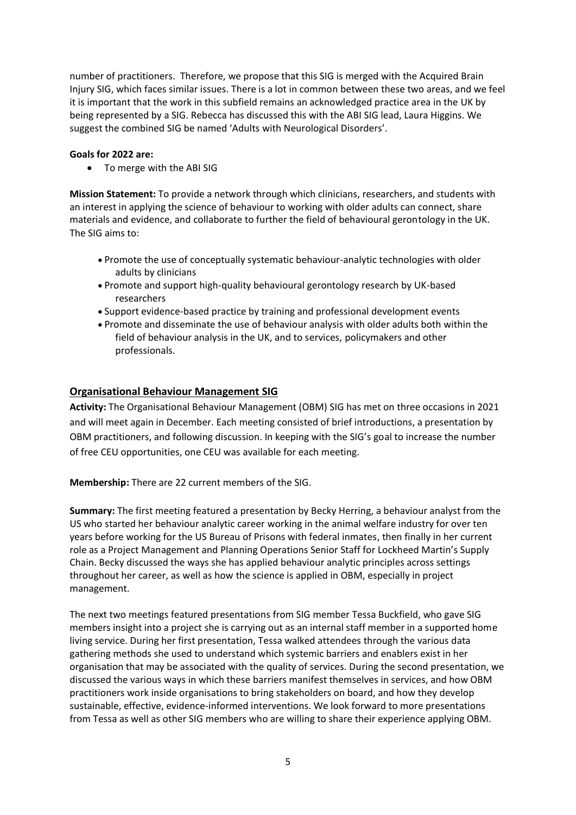number of practitioners. Therefore, we propose that this SIG is merged with the Acquired Brain Injury SIG, which faces similar issues. There is a lot in common between these two areas, and we feel it is important that the work in this subfield remains an acknowledged practice area in the UK by being represented by a SIG. Rebecca has discussed this with the ABI SIG lead, Laura Higgins. We suggest the combined SIG be named 'Adults with Neurological Disorders'.

#### **Goals for 2022 are:**

• To merge with the ABI SIG

**Mission Statement:** To provide a network through which clinicians, researchers, and students with an interest in applying the science of behaviour to working with older adults can connect, share materials and evidence, and collaborate to further the field of behavioural gerontology in the UK. The SIG aims to:

- Promote the use of conceptually systematic behaviour-analytic technologies with older adults by clinicians
- Promote and support high-quality behavioural gerontology research by UK-based researchers
- Support evidence-based practice by training and professional development events
- Promote and disseminate the use of behaviour analysis with older adults both within the field of behaviour analysis in the UK, and to services, policymakers and other professionals.

## **Organisational Behaviour Management SIG**

**Activity:** The Organisational Behaviour Management (OBM) SIG has met on three occasions in 2021 and will meet again in December. Each meeting consisted of brief introductions, a presentation by OBM practitioners, and following discussion. In keeping with the SIG's goal to increase the number of free CEU opportunities, one CEU was available for each meeting.

**Membership:** There are 22 current members of the SIG.

**Summary:** The first meeting featured a presentation by Becky Herring, a behaviour analyst from the US who started her behaviour analytic career working in the animal welfare industry for over ten years before working for the US Bureau of Prisons with federal inmates, then finally in her current role as a Project Management and Planning Operations Senior Staff for Lockheed Martin's Supply Chain. Becky discussed the ways she has applied behaviour analytic principles across settings throughout her career, as well as how the science is applied in OBM, especially in project management.

The next two meetings featured presentations from SIG member Tessa Buckfield, who gave SIG members insight into a project she is carrying out as an internal staff member in a supported home living service. During her first presentation, Tessa walked attendees through the various data gathering methods she used to understand which systemic barriers and enablers exist in her organisation that may be associated with the quality of services. During the second presentation, we discussed the various ways in which these barriers manifest themselves in services, and how OBM practitioners work inside organisations to bring stakeholders on board, and how they develop sustainable, effective, evidence-informed interventions. We look forward to more presentations from Tessa as well as other SIG members who are willing to share their experience applying OBM.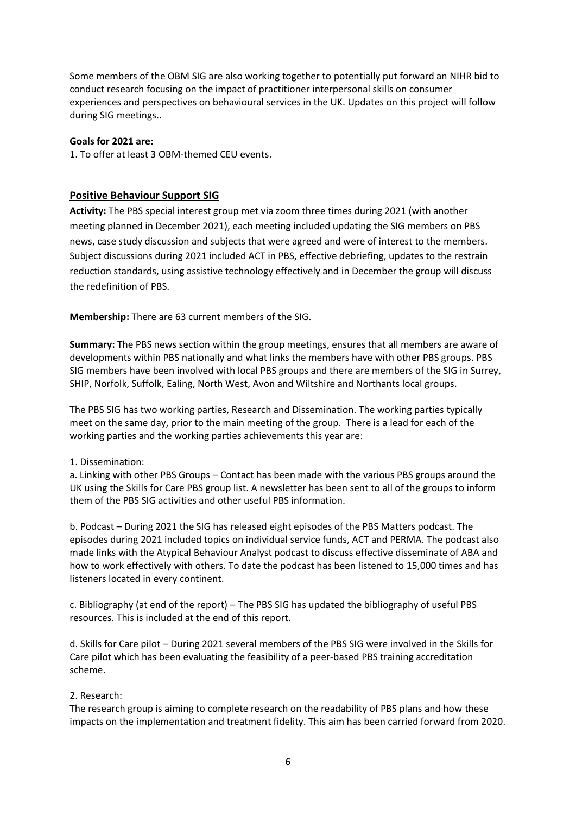Some members of the OBM SIG are also working together to potentially put forward an NIHR bid to conduct research focusing on the impact of practitioner interpersonal skills on consumer experiences and perspectives on behavioural services in the UK. Updates on this project will follow during SIG meetings..

#### **Goals for 2021 are:**

1. To offer at least 3 OBM-themed CEU events.

## **Positive Behaviour Support SIG**

**Activity:** The PBS special interest group met via zoom three times during 2021 (with another meeting planned in December 2021), each meeting included updating the SIG members on PBS news, case study discussion and subjects that were agreed and were of interest to the members. Subject discussions during 2021 included ACT in PBS, effective debriefing, updates to the restrain reduction standards, using assistive technology effectively and in December the group will discuss the redefinition of PBS.

**Membership:** There are 63 current members of the SIG.

**Summary:** The PBS news section within the group meetings, ensures that all members are aware of developments within PBS nationally and what links the members have with other PBS groups. PBS SIG members have been involved with local PBS groups and there are members of the SIG in Surrey, SHIP, Norfolk, Suffolk, Ealing, North West, Avon and Wiltshire and Northants local groups.

The PBS SIG has two working parties, Research and Dissemination. The working parties typically meet on the same day, prior to the main meeting of the group. There is a lead for each of the working parties and the working parties achievements this year are:

## 1. Dissemination:

a. Linking with other PBS Groups – Contact has been made with the various PBS groups around the UK using the Skills for Care PBS group list. A newsletter has been sent to all of the groups to inform them of the PBS SIG activities and other useful PBS information.

b. Podcast – During 2021 the SIG has released eight episodes of the PBS Matters podcast. The episodes during 2021 included topics on individual service funds, ACT and PERMA. The podcast also made links with the Atypical Behaviour Analyst podcast to discuss effective disseminate of ABA and how to work effectively with others. To date the podcast has been listened to 15,000 times and has listeners located in every continent.

c. Bibliography (at end of the report) – The PBS SIG has updated the bibliography of useful PBS resources. This is included at the end of this report.

d. Skills for Care pilot – During 2021 several members of the PBS SIG were involved in the Skills for Care pilot which has been evaluating the feasibility of a peer-based PBS training accreditation scheme.

## 2. Research:

The research group is aiming to complete research on the readability of PBS plans and how these impacts on the implementation and treatment fidelity. This aim has been carried forward from 2020.